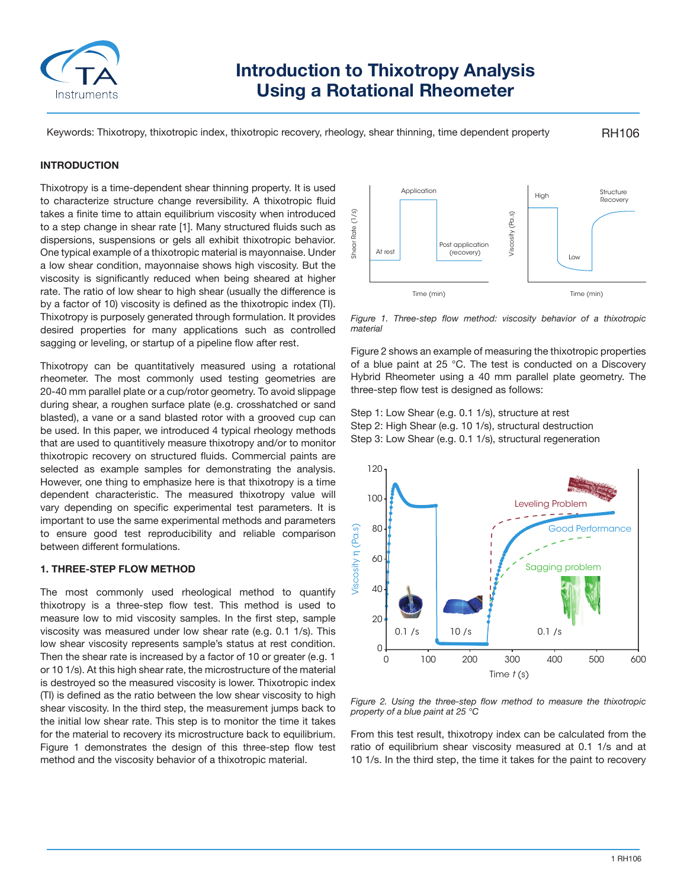

# **Introduction to Thixotropy Analysis Using a Rotational Rheometer**

Keywords: Thixotropy, thixotropic index, thixotropic recovery, rheology, shear thinning, time dependent property

RH106

# **INTRODUCTION**

Thixotropy is a time-dependent shear thinning property. It is used to characterize structure change reversibility. A thixotropic fluid takes a finite time to attain equilibrium viscosity when introduced to a step change in shear rate [1]. Many structured fluids such as dispersions, suspensions or gels all exhibit thixotropic behavior. One typical example of a thixotropic material is mayonnaise. Under a low shear condition, mayonnaise shows high viscosity. But the viscosity is significantly reduced when being sheared at higher rate. The ratio of low shear to high shear (usually the difference is by a factor of 10) viscosity is defined as the thixotropic index (TI). Thixotropy is purposely generated through formulation. It provides desired properties for many applications such as controlled sagging or leveling, or startup of a pipeline flow after rest.

Thixotropy can be quantitatively measured using a rotational rheometer. The most commonly used testing geometries are 20-40 mm parallel plate or a cup/rotor geometry. To avoid slippage during shear, a roughen surface plate (e.g. crosshatched or sand blasted), a vane or a sand blasted rotor with a grooved cup can be used. In this paper, we introduced 4 typical rheology methods that are used to quantitively measure thixotropy and/or to monitor thixotropic recovery on structured fluids. Commercial paints are selected as example samples for demonstrating the analysis. However, one thing to emphasize here is that thixotropy is a time dependent characteristic. The measured thixotropy value will vary depending on specific experimental test parameters. It is important to use the same experimental methods and parameters to ensure good test reproducibility and reliable comparison between different formulations.

#### **1. THREE-STEP FLOW METHOD**

The most commonly used rheological method to quantify thixotropy is a three-step flow test. This method is used to measure low to mid viscosity samples. In the first step, sample viscosity was measured under low shear rate (e.g. 0.1 1/s). This low shear viscosity represents sample's status at rest condition. Then the shear rate is increased by a factor of 10 or greater (e.g. 1 or 10 1/s). At this high shear rate, the microstructure of the material is destroyed so the measured viscosity is lower. Thixotropic index (TI) is defined as the ratio between the low shear viscosity to high shear viscosity. In the third step, the measurement jumps back to the initial low shear rate. This step is to monitor the time it takes for the material to recovery its microstructure back to equilibrium. Figure 1 demonstrates the design of this three-step flow test method and the viscosity behavior of a thixotropic material.



*Figure 1. Three-step flow method: viscosity behavior of a thixotropic material*

Figure 2 shows an example of measuring the thixotropic properties of a blue paint at 25 °C. The test is conducted on a Discovery Hybrid Rheometer using a 40 mm parallel plate geometry. The three-step flow test is designed as follows:

Step 1: Low Shear (e.g. 0.1 1/s), structure at rest Step 2: High Shear (e.g. 10 1/s), structural destruction Step 3: Low Shear (e.g. 0.1 1/s), structural regeneration



*Figure 2. Using the three-step flow method to measure the thixotropic property of a blue paint at 25 °C*

From this test result, thixotropy index can be calculated from the ratio of equilibrium shear viscosity measured at 0.1 1/s and at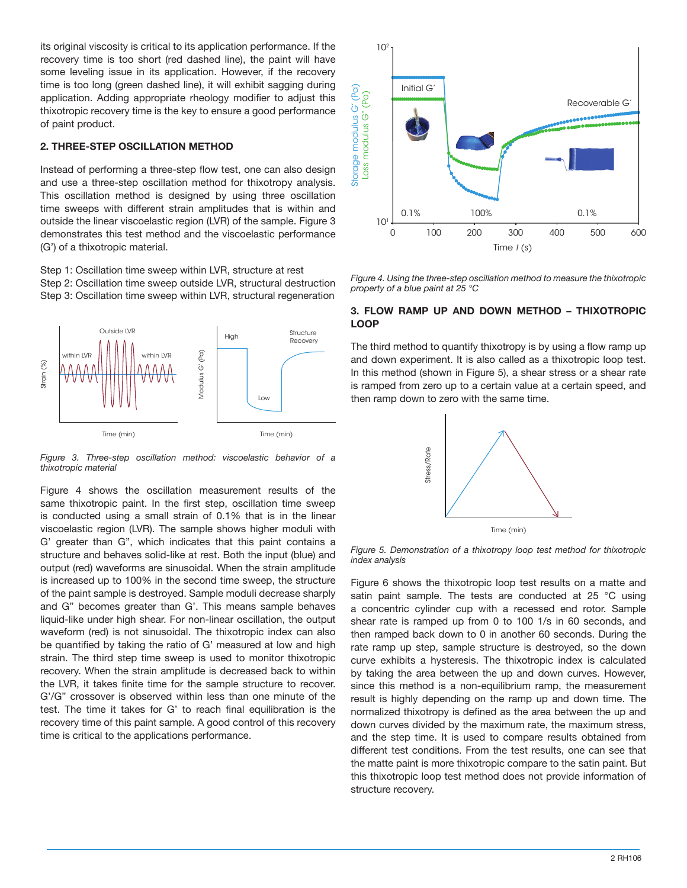its original viscosity is critical to its application performance. If the recovery time is too short (red dashed line), the paint will have some leveling issue in its application. However, if the recovery time is too long (green dashed line), it will exhibit sagging during application. Adding appropriate rheology modifier to adjust this thixotropic recovery time is the key to ensure a good performance of paint product.

## **2. THREE-STEP OSCILLATION METHOD**

Instead of performing a three-step flow test, one can also design and use a three-step oscillation method for thixotropy analysis. This oscillation method is designed by using three oscillation time sweeps with different strain amplitudes that is within and outside the linear viscoelastic region (LVR) of the sample. Figure 3 demonstrates this test method and the viscoelastic performance (G') of a thixotropic material.

Step 1: Oscillation time sweep within LVR, structure at rest Step 2: Oscillation time sweep outside LVR, structural destruction Step 3: Oscillation time sweep within LVR, structural regeneration



*Figure 3. Three-step oscillation method: viscoelastic behavior of a thixotropic material*

Figure 4 shows the oscillation measurement results of the same thixotropic paint. In the first step, oscillation time sweep is conducted using a small strain of 0.1% that is in the linear viscoelastic region (LVR). The sample shows higher moduli with G' greater than G", which indicates that this paint contains a structure and behaves solid-like at rest. Both the input (blue) and output (red) waveforms are sinusoidal. When the strain amplitude is increased up to 100% in the second time sweep, the structure of the paint sample is destroyed. Sample moduli decrease sharply and G" becomes greater than G'. This means sample behaves liquid-like under high shear. For non-linear oscillation, the output waveform (red) is not sinusoidal. The thixotropic index can also be quantified by taking the ratio of G' measured at low and high strain. The third step time sweep is used to monitor thixotropic recovery. When the strain amplitude is decreased back to within the LVR, it takes finite time for the sample structure to recover. G'/G" crossover is observed within less than one minute of the test. The time it takes for G' to reach final equilibration is the recovery time of this paint sample. A good control of this recovery time is critical to the applications performance.



*Figure 4. Using the three-step oscillation method to measure the thixotropic property of a blue paint at 25 °C*

# **3. FLOW RAMP UP AND DOWN METHOD – THIXOTROPIC LOOP**

The third method to quantify thixotropy is by using a flow ramp up and down experiment. It is also called as a thixotropic loop test. In this method (shown in Figure 5), a shear stress or a shear rate is ramped from zero up to a certain value at a certain speed, and then ramp down to zero with the same time.



*Figure 5. Demonstration of a thixotropy loop test method for thixotropic index analysis*

Figure 6 shows the thixotropic loop test results on a matte and satin paint sample. The tests are conducted at 25 °C using a concentric cylinder cup with a recessed end rotor. Sample shear rate is ramped up from 0 to 100 1/s in 60 seconds, and then ramped back down to 0 in another 60 seconds. During the rate ramp up step, sample structure is destroyed, so the down curve exhibits a hysteresis. The thixotropic index is calculated by taking the area between the up and down curves. However, since this method is a non-equilibrium ramp, the measurement result is highly depending on the ramp up and down time. The normalized thixotropy is defined as the area between the up and down curves divided by the maximum rate, the maximum stress, and the step time. It is used to compare results obtained from different test conditions. From the test results, one can see that the matte paint is more thixotropic compare to the satin paint. But this thixotropic loop test method does not provide information of structure recovery.